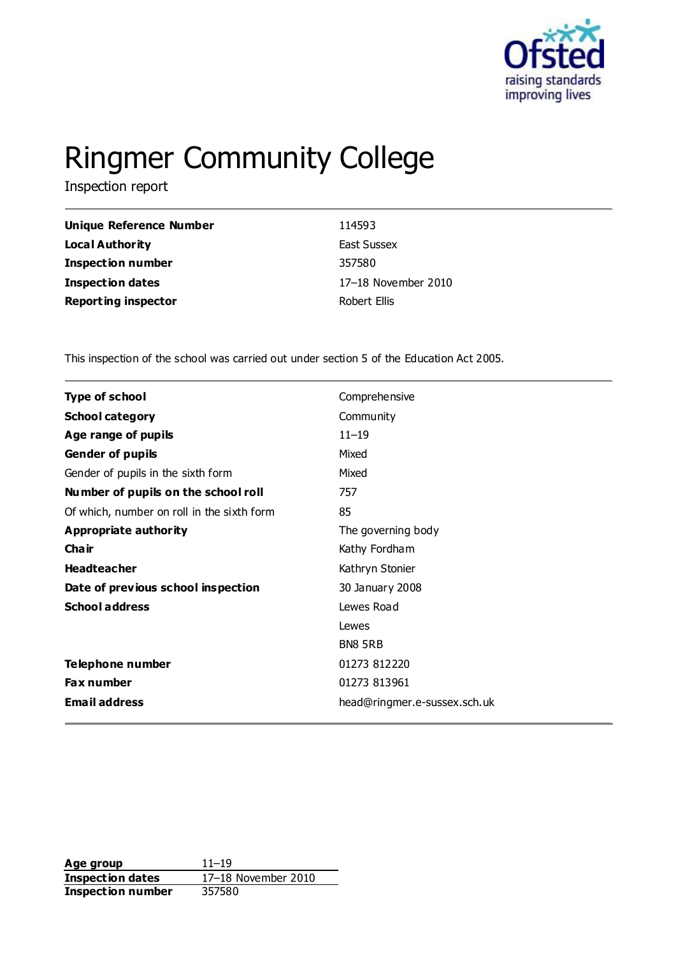

# Ringmer Community College

Inspection report

| 114593              |
|---------------------|
| East Sussex         |
| 357580              |
| 17-18 November 2010 |
| Robert Ellis        |
|                     |

This inspection of the school was carried out under section 5 of the Education Act 2005.

| <b>Type of school</b>                      | Comprehensive                |
|--------------------------------------------|------------------------------|
| <b>School category</b>                     | Community                    |
| Age range of pupils                        | $11 - 19$                    |
| Gender of pupils                           | Mixed                        |
| Gender of pupils in the sixth form         | Mixed                        |
| Number of pupils on the school roll        | 757                          |
| Of which, number on roll in the sixth form | 85                           |
| <b>Appropriate authority</b>               | The governing body           |
| Cha ir                                     | Kathy Fordham                |
| <b>Headteacher</b>                         | Kathryn Stonier              |
| Date of previous school inspection         | 30 January 2008              |
| <b>School address</b>                      | Lewes Road                   |
|                                            | Lewes                        |
|                                            | <b>BN8 5RB</b>               |
| Telephone number                           | 01273 812220                 |
| Fax number                                 | 01273 813961                 |
| <b>Email address</b>                       | head@ringmer.e-sussex.sch.uk |

**Age group** 11–19 **Inspection dates** 17–18 November 2010 **Inspection dates** 17–18 M<br>**Inspection number** 357580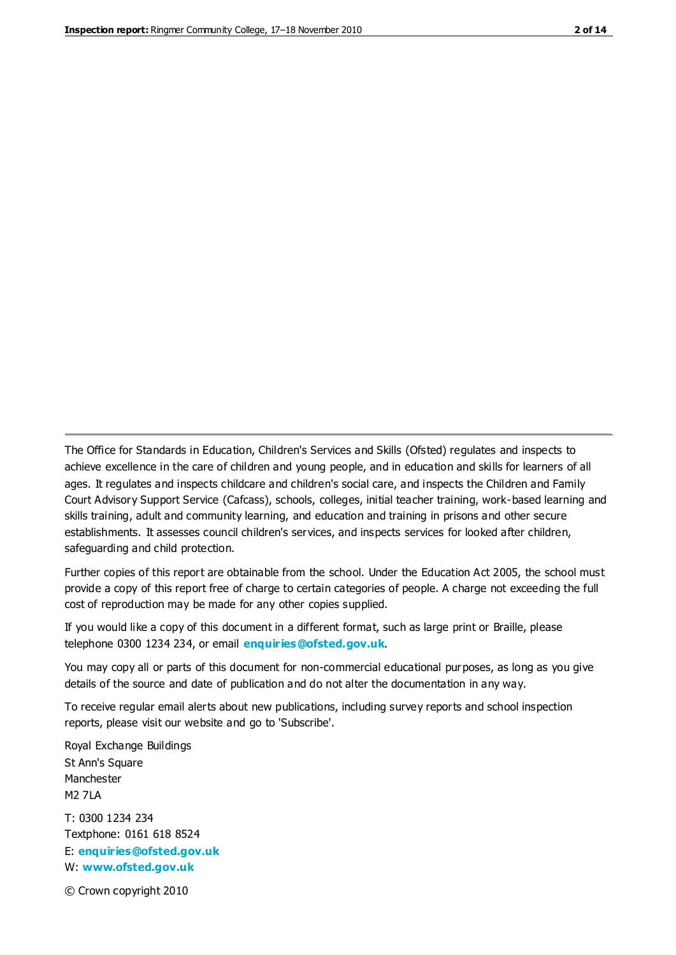The Office for Standards in Education, Children's Services and Skills (Ofsted) regulates and inspects to achieve excellence in the care of children and young people, and in education and skills for learners of all ages. It regulates and inspects childcare and children's social care, and inspects the Children and Family Court Advisory Support Service (Cafcass), schools, colleges, initial teacher training, work-based learning and skills training, adult and community learning, and education and training in prisons and other secure establishments. It assesses council children's services, and inspects services for looked after children, safeguarding and child protection.

Further copies of this report are obtainable from the school. Under the Education Act 2005, the school must provide a copy of this report free of charge to certain categories of people. A charge not exceeding the full cost of reproduction may be made for any other copies supplied.

If you would like a copy of this document in a different format, such as large print or Braille, please telephone 0300 1234 234, or email **[enquiries@ofsted.gov.uk](mailto:enquiries@ofsted.gov.uk)**.

You may copy all or parts of this document for non-commercial educational purposes, as long as you give details of the source and date of publication and do not alter the documentation in any way.

To receive regular email alerts about new publications, including survey reports and school inspection reports, please visit our website and go to 'Subscribe'.

Royal Exchange Buildings St Ann's Square Manchester M2 7LA T: 0300 1234 234 Textphone: 0161 618 8524 E: **[enquiries@ofsted.gov.uk](mailto:enquiries@ofsted.gov.uk)**

W: **[www.ofsted.gov.uk](http://www.ofsted.gov.uk/)**

© Crown copyright 2010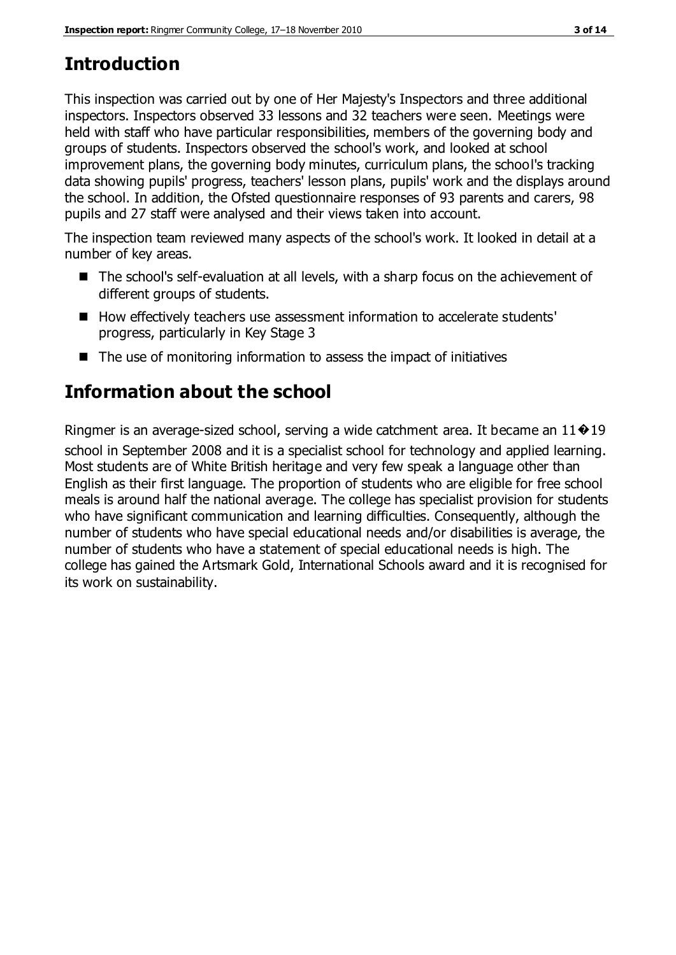# **Introduction**

This inspection was carried out by one of Her Majesty's Inspectors and three additional inspectors. Inspectors observed 33 lessons and 32 teachers were seen. Meetings were held with staff who have particular responsibilities, members of the governing body and groups of students. Inspectors observed the school's work, and looked at school improvement plans, the governing body minutes, curriculum plans, the school's tracking data showing pupils' progress, teachers' lesson plans, pupils' work and the displays around the school. In addition, the Ofsted questionnaire responses of 93 parents and carers, 98 pupils and 27 staff were analysed and their views taken into account.

The inspection team reviewed many aspects of the school's work. It looked in detail at a number of key areas.

- The school's self-evaluation at all levels, with a sharp focus on the achievement of different groups of students.
- How effectively teachers use assessment information to accelerate students' progress, particularly in Key Stage 3
- $\blacksquare$  The use of monitoring information to assess the impact of initiatives

# **Information about the school**

Ringmer is an average-sized school, serving a wide catchment area. It became an  $11\cdot 19$ school in September 2008 and it is a specialist school for technology and applied learning. Most students are of White British heritage and very few speak a language other than English as their first language. The proportion of students who are eligible for free school meals is around half the national average. The college has specialist provision for students who have significant communication and learning difficulties. Consequently, although the number of students who have special educational needs and/or disabilities is average, the number of students who have a statement of special educational needs is high. The college has gained the Artsmark Gold, International Schools award and it is recognised for its work on sustainability.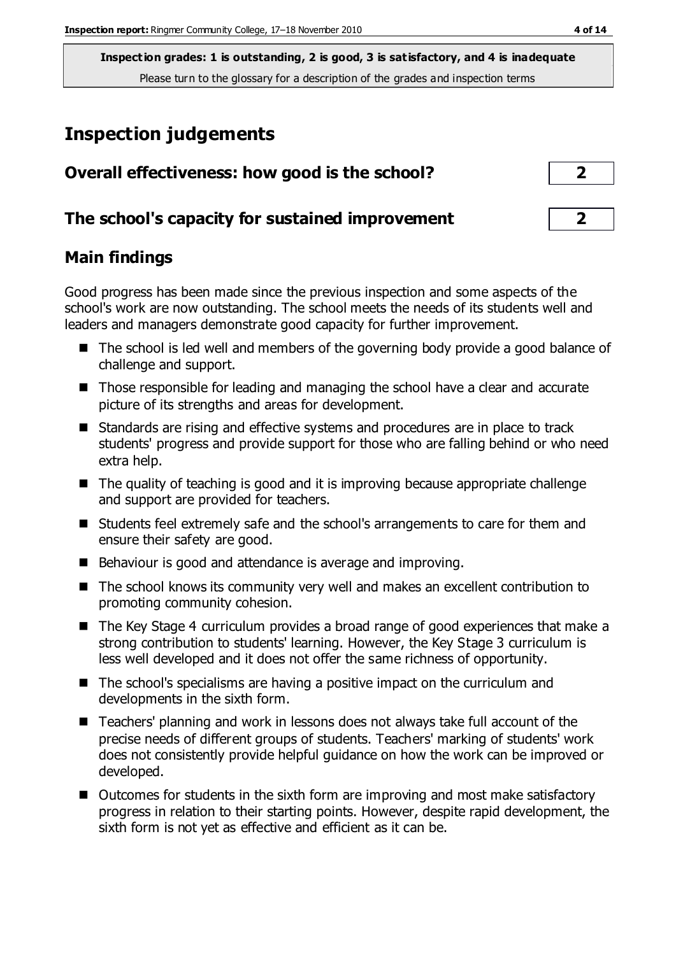## **Inspection judgements**

| Overall effectiveness: how good is the school?  | $\overline{2}$ |  |
|-------------------------------------------------|----------------|--|
| The school's capacity for sustained improvement |                |  |

#### **Main findings**

Good progress has been made since the previous inspection and some aspects of the school's work are now outstanding. The school meets the needs of its students well and leaders and managers demonstrate good capacity for further improvement.

- The school is led well and members of the governing body provide a good balance of challenge and support.
- Those responsible for leading and managing the school have a clear and accurate picture of its strengths and areas for development.
- Standards are rising and effective systems and procedures are in place to track students' progress and provide support for those who are falling behind or who need extra help.
- The quality of teaching is good and it is improving because appropriate challenge and support are provided for teachers.
- Students feel extremely safe and the school's arrangements to care for them and ensure their safety are good.
- Behaviour is good and attendance is average and improving.
- The school knows its community very well and makes an excellent contribution to promoting community cohesion.
- The Key Stage 4 curriculum provides a broad range of good experiences that make a strong contribution to students' learning. However, the Key Stage 3 curriculum is less well developed and it does not offer the same richness of opportunity.
- The school's specialisms are having a positive impact on the curriculum and developments in the sixth form.
- Teachers' planning and work in lessons does not always take full account of the precise needs of different groups of students. Teachers' marking of students' work does not consistently provide helpful guidance on how the work can be improved or developed.
- Outcomes for students in the sixth form are improving and most make satisfactory progress in relation to their starting points. However, despite rapid development, the sixth form is not yet as effective and efficient as it can be.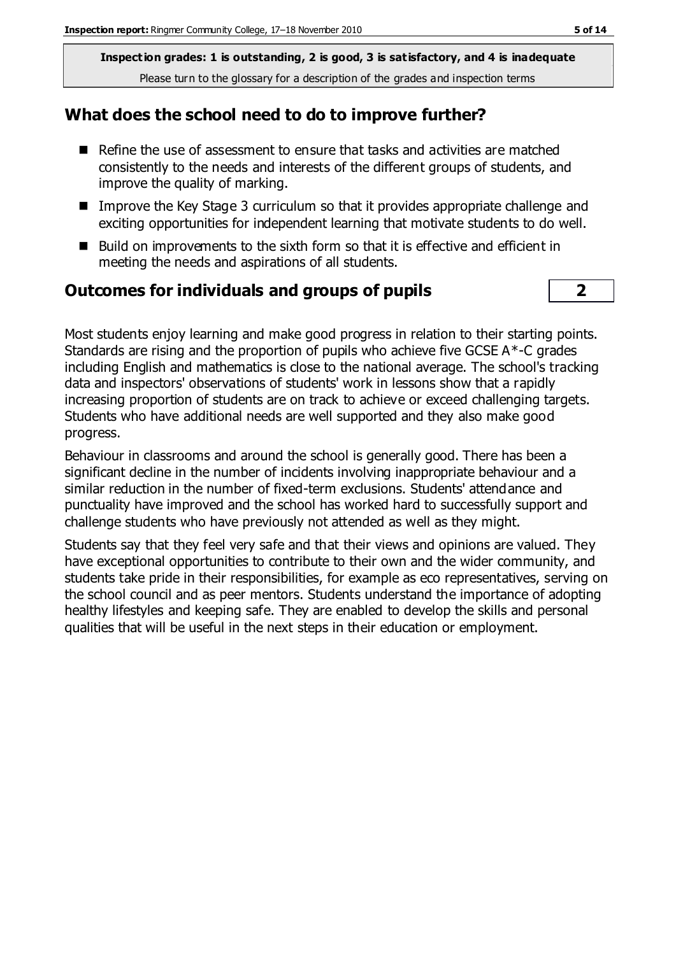#### **What does the school need to do to improve further?**

- Refine the use of assessment to ensure that tasks and activities are matched consistently to the needs and interests of the different groups of students, and improve the quality of marking.
- Improve the Key Stage 3 curriculum so that it provides appropriate challenge and exciting opportunities for independent learning that motivate students to do well.
- Build on improvements to the sixth form so that it is effective and efficient in meeting the needs and aspirations of all students.

#### **Outcomes for individuals and groups of pupils 2**

Most students enjoy learning and make good progress in relation to their starting points. Standards are rising and the proportion of pupils who achieve five GCSE A\*-C grades including English and mathematics is close to the national average. The school's tracking data and inspectors' observations of students' work in lessons show that a rapidly increasing proportion of students are on track to achieve or exceed challenging targets. Students who have additional needs are well supported and they also make good progress.

Behaviour in classrooms and around the school is generally good. There has been a significant decline in the number of incidents involving inappropriate behaviour and a similar reduction in the number of fixed-term exclusions. Students' attendance and punctuality have improved and the school has worked hard to successfully support and challenge students who have previously not attended as well as they might.

Students say that they feel very safe and that their views and opinions are valued. They have exceptional opportunities to contribute to their own and the wider community, and students take pride in their responsibilities, for example as eco representatives, serving on the school council and as peer mentors. Students understand the importance of adopting healthy lifestyles and keeping safe. They are enabled to develop the skills and personal qualities that will be useful in the next steps in their education or employment.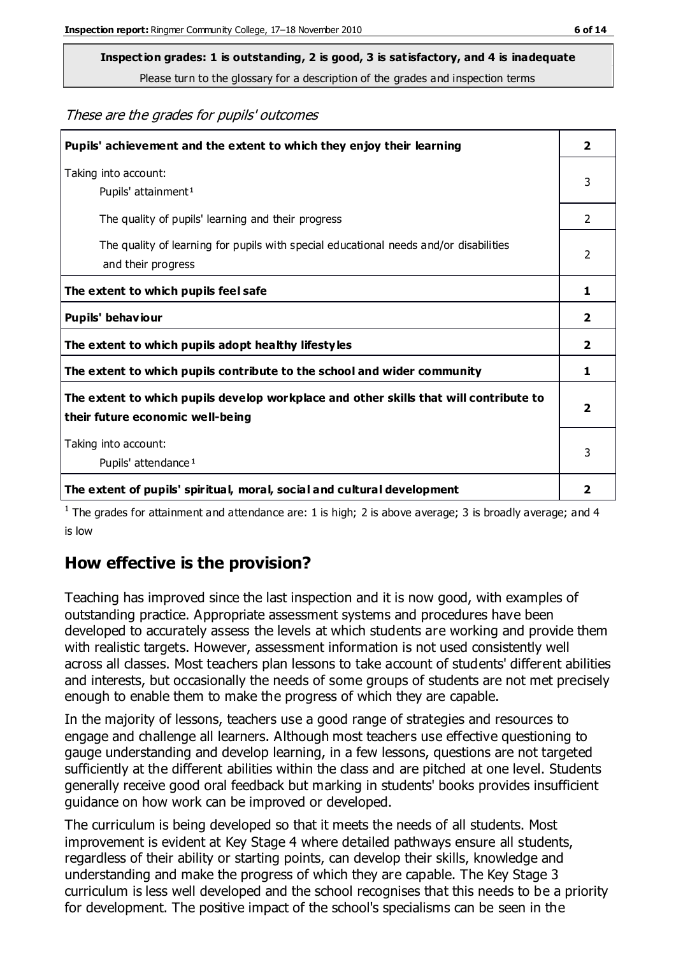**Inspection grades: 1 is outstanding, 2 is good, 3 is satisfactory, and 4 is inadequate**

Please turn to the glossary for a description of the grades and inspection terms

These are the grades for pupils' outcomes

| Pupils' achievement and the extent to which they enjoy their learning                                                     |                |
|---------------------------------------------------------------------------------------------------------------------------|----------------|
| Taking into account:<br>Pupils' attainment <sup>1</sup>                                                                   | 3              |
| The quality of pupils' learning and their progress                                                                        | $\mathcal{P}$  |
| The quality of learning for pupils with special educational needs and/or disabilities<br>and their progress               | $\overline{2}$ |
| The extent to which pupils feel safe                                                                                      | 1              |
| Pupils' behaviour                                                                                                         | 2              |
| The extent to which pupils adopt healthy lifestyles                                                                       | 2              |
| The extent to which pupils contribute to the school and wider community                                                   | 1              |
| The extent to which pupils develop workplace and other skills that will contribute to<br>their future economic well-being |                |
| Taking into account:<br>Pupils' attendance <sup>1</sup>                                                                   | 3              |
| The extent of pupils' spiritual, moral, social and cultural development                                                   | 2              |

<sup>1</sup> The grades for attainment and attendance are: 1 is high; 2 is above average; 3 is broadly average; and 4 is low

## **How effective is the provision?**

Teaching has improved since the last inspection and it is now good, with examples of outstanding practice. Appropriate assessment systems and procedures have been developed to accurately assess the levels at which students are working and provide them with realistic targets. However, assessment information is not used consistently well across all classes. Most teachers plan lessons to take account of students' different abilities and interests, but occasionally the needs of some groups of students are not met precisely enough to enable them to make the progress of which they are capable.

In the majority of lessons, teachers use a good range of strategies and resources to engage and challenge all learners. Although most teachers use effective questioning to gauge understanding and develop learning, in a few lessons, questions are not targeted sufficiently at the different abilities within the class and are pitched at one level. Students generally receive good oral feedback but marking in students' books provides insufficient guidance on how work can be improved or developed.

The curriculum is being developed so that it meets the needs of all students. Most improvement is evident at Key Stage 4 where detailed pathways ensure all students, regardless of their ability or starting points, can develop their skills, knowledge and understanding and make the progress of which they are capable. The Key Stage 3 curriculum is less well developed and the school recognises that this needs to be a priority for development. The positive impact of the school's specialisms can be seen in the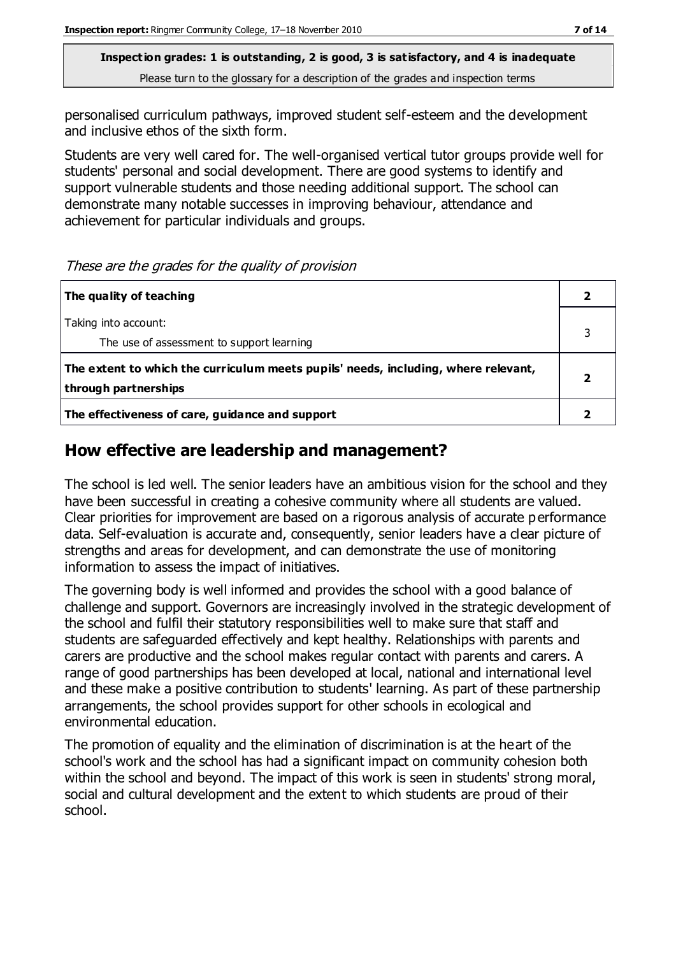personalised curriculum pathways, improved student self-esteem and the development and inclusive ethos of the sixth form.

Students are very well cared for. The well-organised vertical tutor groups provide well for students' personal and social development. There are good systems to identify and support vulnerable students and those needing additional support. The school can demonstrate many notable successes in improving behaviour, attendance and achievement for particular individuals and groups.

These are the grades for the quality of provision

| The quality of teaching                                                                                    |  |
|------------------------------------------------------------------------------------------------------------|--|
| Taking into account:<br>The use of assessment to support learning                                          |  |
| The extent to which the curriculum meets pupils' needs, including, where relevant,<br>through partnerships |  |
| The effectiveness of care, guidance and support                                                            |  |

## **How effective are leadership and management?**

The school is led well. The senior leaders have an ambitious vision for the school and they have been successful in creating a cohesive community where all students are valued. Clear priorities for improvement are based on a rigorous analysis of accurate p erformance data. Self-evaluation is accurate and, consequently, senior leaders have a clear picture of strengths and areas for development, and can demonstrate the use of monitoring information to assess the impact of initiatives.

The governing body is well informed and provides the school with a good balance of challenge and support. Governors are increasingly involved in the strategic development of the school and fulfil their statutory responsibilities well to make sure that staff and students are safeguarded effectively and kept healthy. Relationships with parents and carers are productive and the school makes regular contact with parents and carers. A range of good partnerships has been developed at local, national and international level and these make a positive contribution to students' learning. As part of these partnership arrangements, the school provides support for other schools in ecological and environmental education.

The promotion of equality and the elimination of discrimination is at the heart of the school's work and the school has had a significant impact on community cohesion both within the school and beyond. The impact of this work is seen in students' strong moral, social and cultural development and the extent to which students are proud of their school.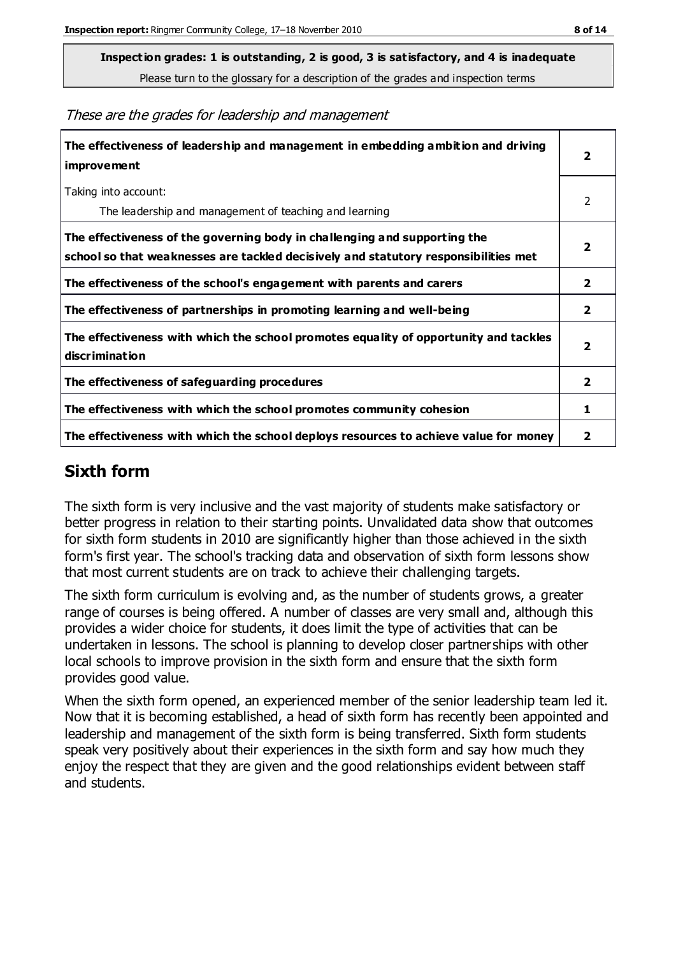**Inspection grades: 1 is outstanding, 2 is good, 3 is satisfactory, and 4 is inadequate**

Please turn to the glossary for a description of the grades and inspection terms

These are the grades for leadership and management

| The effectiveness of leadership and management in embedding ambition and driving<br>improvement                                                                  |                         |
|------------------------------------------------------------------------------------------------------------------------------------------------------------------|-------------------------|
| Taking into account:<br>The leadership and management of teaching and learning                                                                                   | 2                       |
| The effectiveness of the governing body in challenging and supporting the<br>school so that weaknesses are tackled decisively and statutory responsibilities met | $\overline{2}$          |
| The effectiveness of the school's engagement with parents and carers                                                                                             | $\overline{2}$          |
| The effectiveness of partnerships in promoting learning and well-being                                                                                           | $\overline{2}$          |
| The effectiveness with which the school promotes equality of opportunity and tackles<br>discrimination                                                           | $\overline{\mathbf{2}}$ |
| The effectiveness of safeguarding procedures                                                                                                                     | $\overline{2}$          |
| The effectiveness with which the school promotes community cohesion                                                                                              | 1                       |
| The effectiveness with which the school deploys resources to achieve value for money                                                                             | 2                       |

### **Sixth form**

The sixth form is very inclusive and the vast majority of students make satisfactory or better progress in relation to their starting points. Unvalidated data show that outcomes for sixth form students in 2010 are significantly higher than those achieved in the sixth form's first year. The school's tracking data and observation of sixth form lessons show that most current students are on track to achieve their challenging targets.

The sixth form curriculum is evolving and, as the number of students grows, a greater range of courses is being offered. A number of classes are very small and, although this provides a wider choice for students, it does limit the type of activities that can be undertaken in lessons. The school is planning to develop closer partnerships with other local schools to improve provision in the sixth form and ensure that the sixth form provides good value.

When the sixth form opened, an experienced member of the senior leadership team led it. Now that it is becoming established, a head of sixth form has recently been appointed and leadership and management of the sixth form is being transferred. Sixth form students speak very positively about their experiences in the sixth form and say how much they enjoy the respect that they are given and the good relationships evident between staff and students.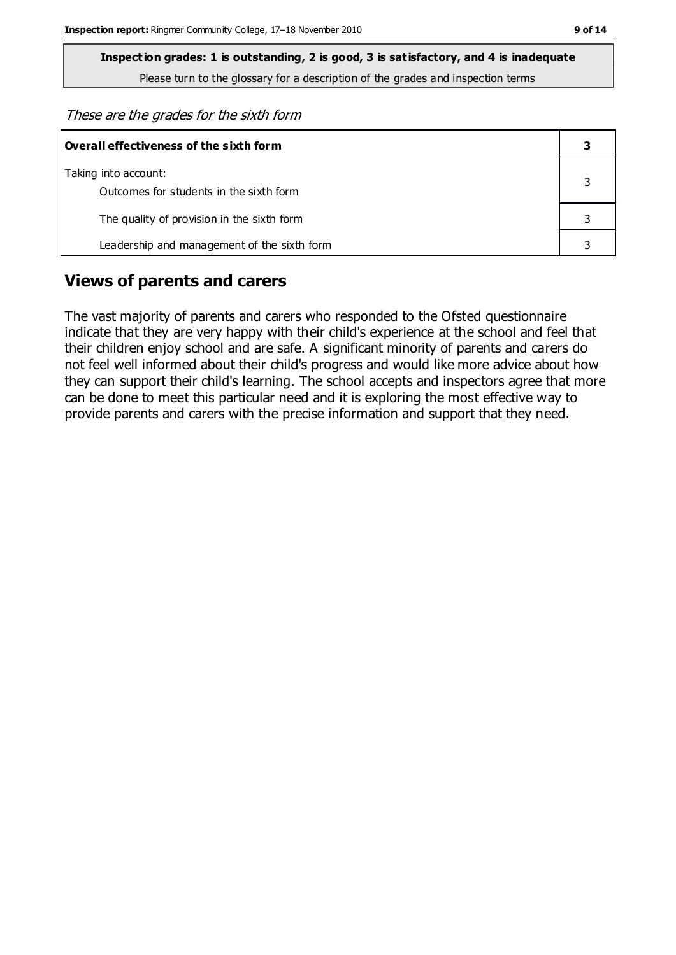These are the grades for the sixth form

| Overall effectiveness of the sixth form                         |  |  |
|-----------------------------------------------------------------|--|--|
| Taking into account:<br>Outcomes for students in the sixth form |  |  |
| The quality of provision in the sixth form                      |  |  |
| Leadership and management of the sixth form                     |  |  |

#### **Views of parents and carers**

The vast majority of parents and carers who responded to the Ofsted questionnaire indicate that they are very happy with their child's experience at the school and feel that their children enjoy school and are safe. A significant minority of parents and carers do not feel well informed about their child's progress and would like more advice about how they can support their child's learning. The school accepts and inspectors agree that more can be done to meet this particular need and it is exploring the most effective way to provide parents and carers with the precise information and support that they need.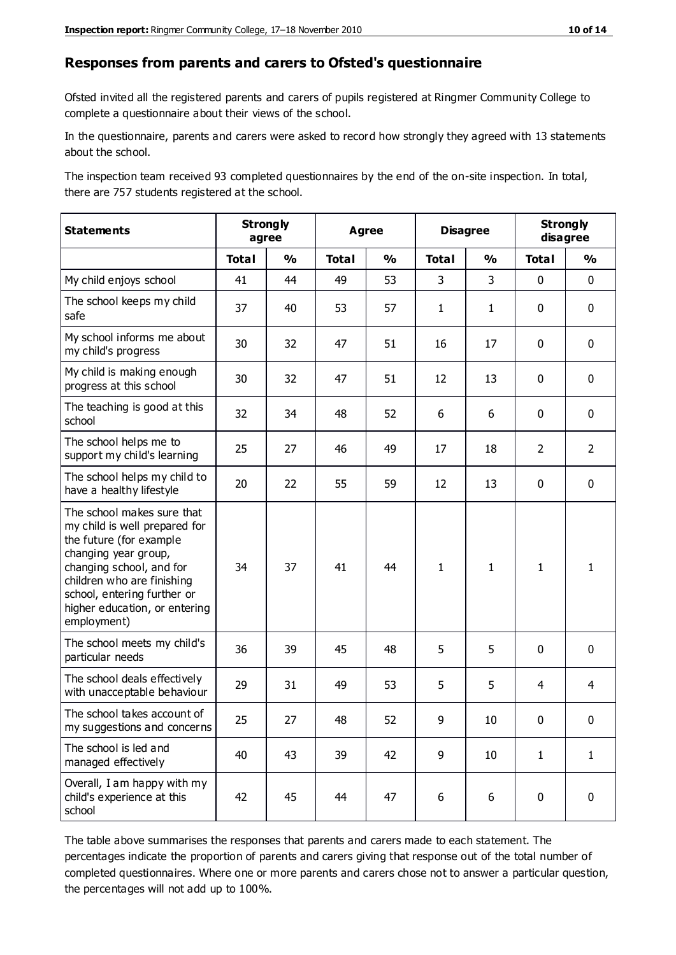#### **Responses from parents and carers to Ofsted's questionnaire**

Ofsted invited all the registered parents and carers of pupils registered at Ringmer Community College to complete a questionnaire about their views of the school.

In the questionnaire, parents and carers were asked to record how strongly they agreed with 13 statements about the school.

The inspection team received 93 completed questionnaires by the end of the on-site inspection. In total, there are 757 students registered at the school.

| <b>Statements</b>                                                                                                                                                                                                                                       | <b>Strongly</b><br>agree |               | <b>Agree</b> |               | <b>Disagree</b> |               | <b>Strongly</b><br>disagree |                |
|---------------------------------------------------------------------------------------------------------------------------------------------------------------------------------------------------------------------------------------------------------|--------------------------|---------------|--------------|---------------|-----------------|---------------|-----------------------------|----------------|
|                                                                                                                                                                                                                                                         | <b>Total</b>             | $\frac{1}{2}$ | <b>Total</b> | $\frac{1}{2}$ | <b>Total</b>    | $\frac{1}{2}$ | <b>Total</b>                | $\frac{1}{2}$  |
| My child enjoys school                                                                                                                                                                                                                                  | 41                       | 44            | 49           | 53            | 3               | 3             | $\mathbf 0$                 | $\mathbf 0$    |
| The school keeps my child<br>safe                                                                                                                                                                                                                       | 37                       | 40            | 53           | 57            | $\mathbf{1}$    | $\mathbf{1}$  | $\mathbf 0$                 | $\mathbf 0$    |
| My school informs me about<br>my child's progress                                                                                                                                                                                                       | 30                       | 32            | 47           | 51            | 16              | 17            | $\mathbf 0$                 | $\mathbf 0$    |
| My child is making enough<br>progress at this school                                                                                                                                                                                                    | 30                       | 32            | 47           | 51            | 12              | 13            | $\mathbf 0$                 | $\mathbf 0$    |
| The teaching is good at this<br>school                                                                                                                                                                                                                  | 32                       | 34            | 48           | 52            | 6               | 6             | $\mathbf 0$                 | $\mathbf 0$    |
| The school helps me to<br>support my child's learning                                                                                                                                                                                                   | 25                       | 27            | 46           | 49            | 17              | 18            | $\overline{2}$              | $\overline{2}$ |
| The school helps my child to<br>have a healthy lifestyle                                                                                                                                                                                                | 20                       | 22            | 55           | 59            | 12              | 13            | $\mathbf 0$                 | $\mathbf 0$    |
| The school makes sure that<br>my child is well prepared for<br>the future (for example<br>changing year group,<br>changing school, and for<br>children who are finishing<br>school, entering further or<br>higher education, or entering<br>employment) | 34                       | 37            | 41           | 44            | $\mathbf{1}$    | $\mathbf{1}$  | $\mathbf{1}$                | 1              |
| The school meets my child's<br>particular needs                                                                                                                                                                                                         | 36                       | 39            | 45           | 48            | 5               | 5             | $\mathbf 0$                 | $\mathbf 0$    |
| The school deals effectively<br>with unacceptable behaviour                                                                                                                                                                                             | 29                       | 31            | 49           | 53            | 5               | 5             | 4                           | $\overline{4}$ |
| The school takes account of<br>my suggestions and concerns                                                                                                                                                                                              | 25                       | 27            | 48           | 52            | 9               | 10            | $\Omega$                    | 0              |
| The school is led and<br>managed effectively                                                                                                                                                                                                            | 40                       | 43            | 39           | 42            | 9               | 10            | $\mathbf{1}$                | $\mathbf{1}$   |
| Overall, I am happy with my<br>child's experience at this<br>school                                                                                                                                                                                     | 42                       | 45            | 44           | 47            | 6               | 6             | $\mathbf 0$                 | $\mathbf 0$    |

The table above summarises the responses that parents and carers made to each statement. The percentages indicate the proportion of parents and carers giving that response out of the total number of completed questionnaires. Where one or more parents and carers chose not to answer a particular question, the percentages will not add up to 100%.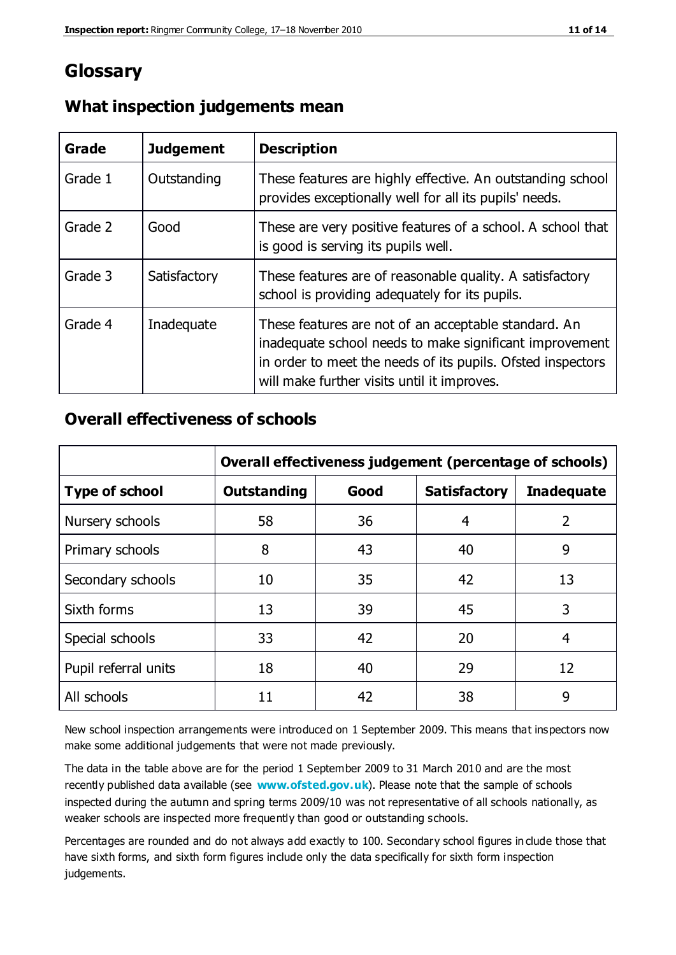## **Glossary**

| Grade   | <b>Judgement</b> | <b>Description</b>                                                                                                                                                                                                            |  |
|---------|------------------|-------------------------------------------------------------------------------------------------------------------------------------------------------------------------------------------------------------------------------|--|
| Grade 1 | Outstanding      | These features are highly effective. An outstanding school<br>provides exceptionally well for all its pupils' needs.                                                                                                          |  |
| Grade 2 | Good             | These are very positive features of a school. A school that<br>is good is serving its pupils well.                                                                                                                            |  |
| Grade 3 | Satisfactory     | These features are of reasonable quality. A satisfactory<br>school is providing adequately for its pupils.                                                                                                                    |  |
| Grade 4 | Inadequate       | These features are not of an acceptable standard. An<br>inadequate school needs to make significant improvement<br>in order to meet the needs of its pupils. Ofsted inspectors<br>will make further visits until it improves. |  |

#### **What inspection judgements mean**

#### **Overall effectiveness of schools**

|                       | Overall effectiveness judgement (percentage of schools) |      |                     |                   |  |
|-----------------------|---------------------------------------------------------|------|---------------------|-------------------|--|
| <b>Type of school</b> | <b>Outstanding</b>                                      | Good | <b>Satisfactory</b> | <b>Inadequate</b> |  |
| Nursery schools       | 58                                                      | 36   | 4                   | $\overline{2}$    |  |
| Primary schools       | 8                                                       | 43   | 40                  | 9                 |  |
| Secondary schools     | 10                                                      | 35   | 42                  | 13                |  |
| Sixth forms           | 13                                                      | 39   | 45                  | 3                 |  |
| Special schools       | 33                                                      | 42   | 20                  | 4                 |  |
| Pupil referral units  | 18                                                      | 40   | 29                  | 12                |  |
| All schools           | 11                                                      | 42   | 38                  | 9                 |  |

New school inspection arrangements were introduced on 1 September 2009. This means that inspectors now make some additional judgements that were not made previously.

The data in the table above are for the period 1 September 2009 to 31 March 2010 and are the most recently published data available (see **[www.ofsted.gov.uk](http://www.ofsted.gov.uk/)**). Please note that the sample of schools inspected during the autumn and spring terms 2009/10 was not representative of all schools nationally, as weaker schools are inspected more frequently than good or outstanding schools.

Percentages are rounded and do not always add exactly to 100. Secondary school figures in clude those that have sixth forms, and sixth form figures include only the data specifically for sixth form inspection judgements.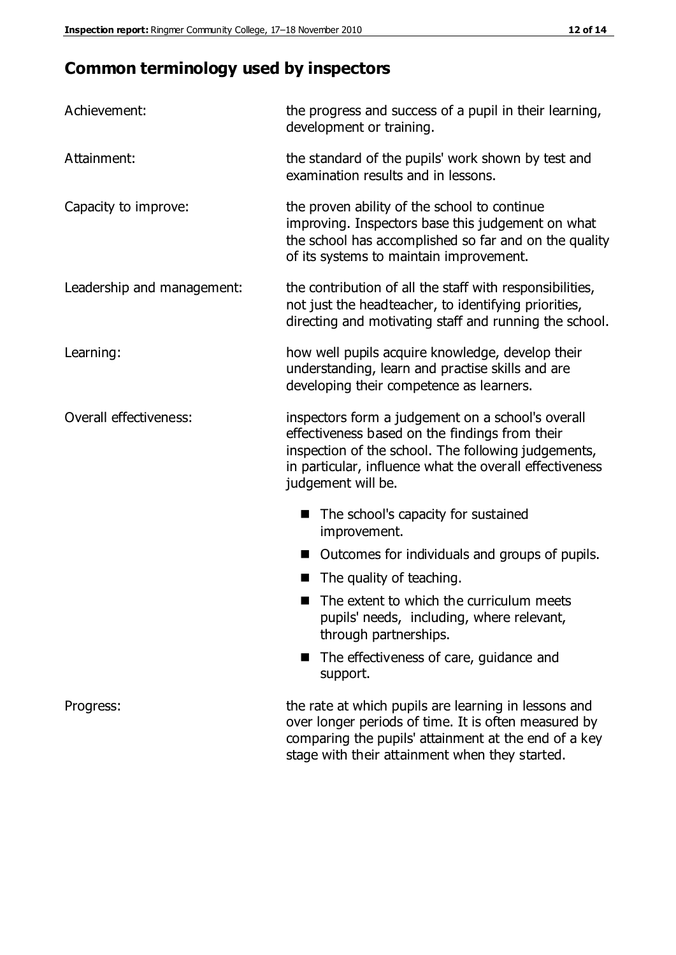## **Common terminology used by inspectors**

| Achievement:               | the progress and success of a pupil in their learning,<br>development or training.                                                                                                                                                          |  |  |
|----------------------------|---------------------------------------------------------------------------------------------------------------------------------------------------------------------------------------------------------------------------------------------|--|--|
| Attainment:                | the standard of the pupils' work shown by test and<br>examination results and in lessons.                                                                                                                                                   |  |  |
| Capacity to improve:       | the proven ability of the school to continue<br>improving. Inspectors base this judgement on what<br>the school has accomplished so far and on the quality<br>of its systems to maintain improvement.                                       |  |  |
| Leadership and management: | the contribution of all the staff with responsibilities,<br>not just the headteacher, to identifying priorities,<br>directing and motivating staff and running the school.                                                                  |  |  |
| Learning:                  | how well pupils acquire knowledge, develop their<br>understanding, learn and practise skills and are<br>developing their competence as learners.                                                                                            |  |  |
| Overall effectiveness:     | inspectors form a judgement on a school's overall<br>effectiveness based on the findings from their<br>inspection of the school. The following judgements,<br>in particular, influence what the overall effectiveness<br>judgement will be. |  |  |
|                            | The school's capacity for sustained<br>improvement.                                                                                                                                                                                         |  |  |
|                            | Outcomes for individuals and groups of pupils.                                                                                                                                                                                              |  |  |
|                            | The quality of teaching.                                                                                                                                                                                                                    |  |  |
|                            | The extent to which the curriculum meets<br>pupils' needs, including, where relevant,<br>through partnerships.                                                                                                                              |  |  |
|                            | The effectiveness of care, guidance and<br>support.                                                                                                                                                                                         |  |  |
| Progress:                  | the rate at which pupils are learning in lessons and<br>over longer periods of time. It is often measured by<br>comparing the pupils' attainment at the end of a key                                                                        |  |  |

stage with their attainment when they started.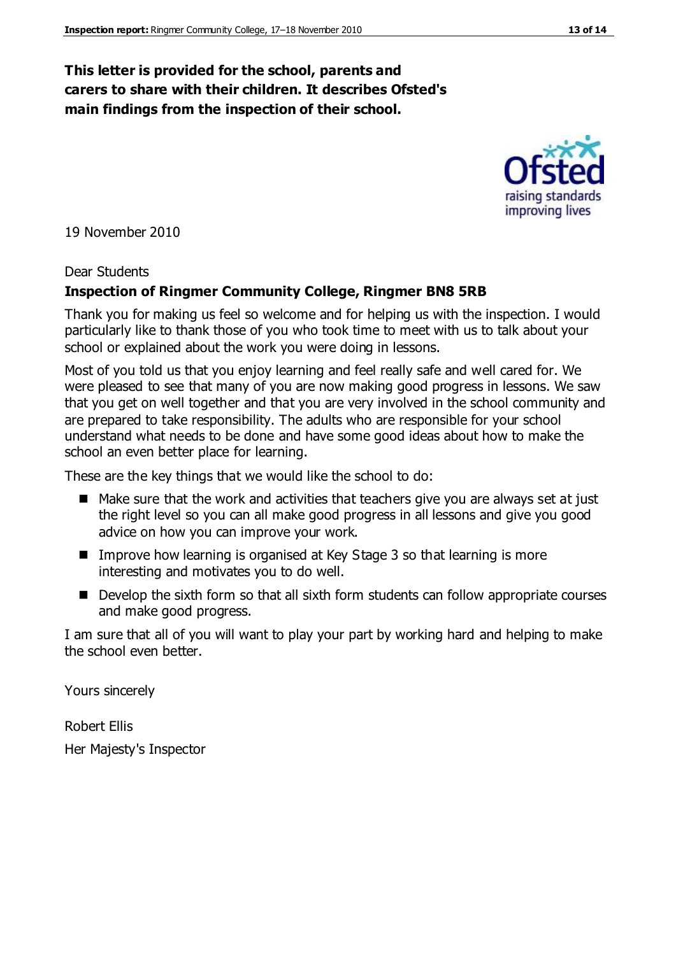#### **This letter is provided for the school, parents and carers to share with their children. It describes Ofsted's main findings from the inspection of their school.**

19 November 2010

#### Dear Students

#### **Inspection of Ringmer Community College, Ringmer BN8 5RB**

Thank you for making us feel so welcome and for helping us with the inspection. I would particularly like to thank those of you who took time to meet with us to talk about your school or explained about the work you were doing in lessons.

Most of you told us that you enjoy learning and feel really safe and well cared for. We were pleased to see that many of you are now making good progress in lessons. We saw that you get on well together and that you are very involved in the school community and are prepared to take responsibility. The adults who are responsible for your school understand what needs to be done and have some good ideas about how to make the school an even better place for learning.

These are the key things that we would like the school to do:

- $\blacksquare$  Make sure that the work and activities that teachers give you are always set at just the right level so you can all make good progress in all lessons and give you good advice on how you can improve your work.
- Improve how learning is organised at Key Stage 3 so that learning is more interesting and motivates you to do well.
- Develop the sixth form so that all sixth form students can follow appropriate courses and make good progress.

I am sure that all of you will want to play your part by working hard and helping to make the school even better.

Yours sincerely

Robert Ellis Her Majesty's Inspector